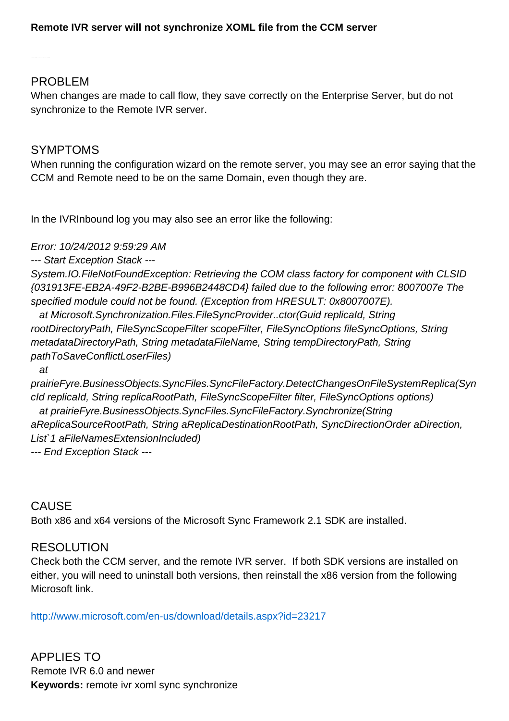### **Remote IVR server will not synchronize XOML file from the CCM server**

#### PROBLEM

When changes are made to call flow, they save correctly on the Enterprise Server, but do not synchronize to the Remote IVR server.

### SYMPTOMS

When running the configuration wizard on the remote server, you may see an error saying that the CCM and Remote need to be on the same Domain, even though they are.

In the IVRInbound log you may also see an error like the following:

Error: 10/24/2012 9:59:29 AM

--- Start Exception Stack ---

System.IO.FileNotFoundException: Retrieving the COM class factory for component with CLSID {031913FE-EB2A-49F2-B2BE-B996B2448CD4} failed due to the following error: 8007007e The specified module could not be found. (Exception from HRESULT: 0x8007007E).

 at Microsoft.Synchronization.Files.FileSyncProvider..ctor(Guid replicaId, String rootDirectoryPath, FileSyncScopeFilter scopeFilter, FileSyncOptions fileSyncOptions, String metadataDirectoryPath, String metadataFileName, String tempDirectoryPath, String pathToSaveConflictLoserFiles)

at

prairieFyre.BusinessObjects.SyncFiles.SyncFileFactory.DetectChangesOnFileSystemReplica(Syn cId replicaId, String replicaRootPath, FileSyncScopeFilter filter, FileSyncOptions options) at prairieFyre.BusinessObjects.SyncFiles.SyncFileFactory.Synchronize(String aReplicaSourceRootPath, String aReplicaDestinationRootPath, SyncDirectionOrder aDirection, List`1 aFileNamesExtensionIncluded) --- End Exception Stack ---

# CAUSE

Both x86 and x64 versions of the Microsoft Sync Framework 2.1 SDK are installed.

## **RESOLUTION**

Check both the CCM server, and the remote IVR server. If both SDK versions are installed on either, you will need to uninstall both versions, then reinstall the x86 version from the following Microsoft link.

<http://www.microsoft.com/en-us/download/details.aspx?id=23217>